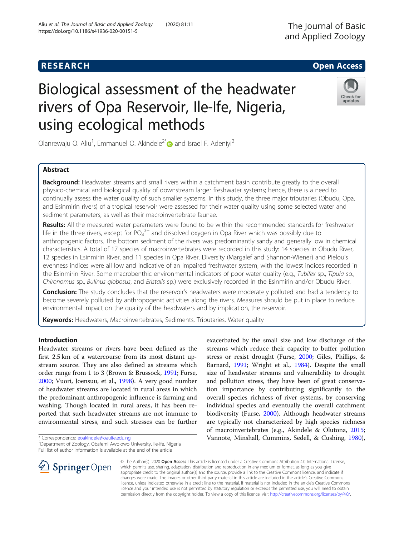# Check for updates

Olanrewaju O. Aliu<sup>1</sup>, Emmanuel O. Akindele<sup>2\*</sup> and Israel F. Adeniyi<sup>2</sup>

using ecological methods

Biological assessment of the headwater

rivers of Opa Reservoir, Ile-Ife, Nigeria,

# Abstract

Background: Headwater streams and small rivers within a catchment basin contribute greatly to the overall physico-chemical and biological quality of downstream larger freshwater systems; hence, there is a need to continually assess the water quality of such smaller systems. In this study, the three major tributaries (Obudu, Opa, and Esinmirin rivers) of a tropical reservoir were assessed for their water quality using some selected water and sediment parameters, as well as their macroinvertebrate faunae.

Results: All the measured water parameters were found to be within the recommended standards for freshwater life in the three rivers, except for  $PO_4^{3-}$  and dissolved oxygen in Opa River which was possibly due to anthropogenic factors. The bottom sediment of the rivers was predominantly sandy and generally low in chemical characteristics. A total of 17 species of macroinvertebrates were recorded in this study: 14 species in Obudu River, 12 species in Esinmirin River, and 11 species in Opa River. Diversity (Margalef and Shannon-Wiener) and Pielou's evenness indices were all low and indicative of an impaired freshwater system, with the lowest indices recorded in the Esinmirin River. Some macrobenthic environmental indicators of poor water quality (e.g., Tubifex sp., Tipula sp., Chironomus sp., Bulinus globosus, and Eristalis sp.) were exclusively recorded in the Esinmirin and/or Obudu River.

Conclusion: The study concludes that the reservoir's headwaters were moderately polluted and had a tendency to become severely polluted by anthropogenic activities along the rivers. Measures should be put in place to reduce environmental impact on the quality of the headwaters and by implication, the reservoir.

Keywords: Headwaters, Macroinvertebrates, Sediments, Tributaries, Water quality

# Introduction

Headwater streams or rivers have been defined as the first 2.5 km of a watercourse from its most distant upstream source. They are also defined as streams which order range from 1 to 3 (Brown & Brussock, [1991](#page-6-0); Furse, [2000](#page-6-0); Vuori, Joensuu, et al., [1998\)](#page-7-0). A very good number of headwater streams are located in rural areas in which the predominant anthropogenic influence is farming and washing. Though located in rural areas, it has been reported that such headwater streams are not immune to environmental stress, and such stresses can be further

<sup>2</sup>Department of Zoology, Obafemi Awolowo University, Ile-Ife, Nigeria Full list of author information is available at the end of the article

exacerbated by the small size and low discharge of the streams which reduce their capacity to buffer pollution stress or resist drought (Furse, [2000](#page-6-0); Giles, Phillips, & Barnard, [1991](#page-6-0); Wright et al., [1984\)](#page-7-0). Despite the small size of headwater streams and vulnerability to drought and pollution stress, they have been of great conservation importance by contributing significantly to the overall species richness of river systems, by conserving individual species and eventually the overall catchment biodiversity (Furse, [2000](#page-6-0)). Although headwater streams are typically not characterized by high species richness of macroinvertebrates (e.g., Akindele & Olutona, [2015](#page-6-0); Vannote, Minshall, Cummins, Sedell, & Cushing, [1980](#page-7-0)),



© The Author(s). 2020 Open Access This article is licensed under a Creative Commons Attribution 4.0 International License, which permits use, sharing, adaptation, distribution and reproduction in any medium or format, as long as you give appropriate credit to the original author(s) and the source, provide a link to the Creative Commons licence, and indicate if changes were made. The images or other third party material in this article are included in the article's Creative Commons licence, unless indicated otherwise in a credit line to the material. If material is not included in the article's Creative Commons licence and your intended use is not permitted by statutory regulation or exceeds the permitted use, you will need to obtain permission directly from the copyright holder. To view a copy of this licence, visit <http://creativecommons.org/licenses/by/4.0/>.

<sup>\*</sup> Correspondence: [eoakindele@oauife.edu.ng](mailto:eoakindele@oauife.edu.ng) <sup>2</sup>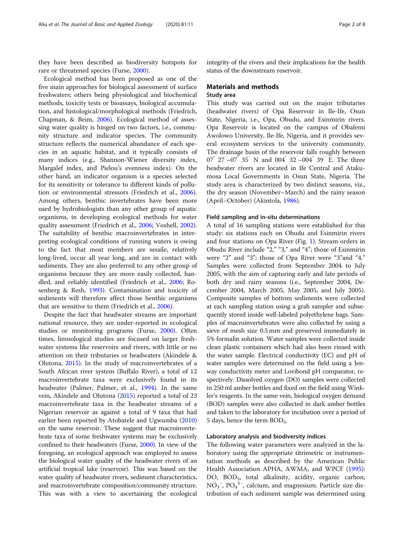they have been described as biodiversity hotspots for rare or threatened species (Furse, [2000\)](#page-6-0).

Ecological method has been proposed as one of the five main approaches for biological assessment of surface freshwaters; others being physiological and biochemical methods, toxicity tests or bioassays, biological accumulation, and histological/morphological methods (Friedrich, Chapman, & Beim, [2006](#page-6-0)). Ecological method of assessing water quality is hinged on two factors, i.e., community structure and indicator species. The community structure reflects the numerical abundance of each species in an aquatic habitat, and it typically consists of many indices (e.g., Shannon-Wiener diversity index, Margalef index, and Pielou's evenness index). On the other hand, an indicator organism is a species selected for its sensitivity or tolerance to different kinds of pollution or environmental stressors (Friedrich et al., [2006](#page-6-0)). Among others, benthic invertebrates have been more used by hydrobiologists than any other group of aquatic organisms, in developing ecological methods for water quality assessment (Friedrich et al., [2006](#page-6-0); Voshell, [2002](#page-7-0)). The suitability of benthic macroinvertebrates in interpreting ecological conditions of running waters is owing to the fact that most members are sessile, relatively long-lived, occur all year long, and are in contact with sediments. They are also preferred to any other group of organisms because they are more easily collected, handled, and reliably identified (Friedrich et al., [2006](#page-6-0); Rosenberg & Resh, [1993](#page-7-0)). Contamination and toxicity of sediments will therefore affect those benthic organisms that are sensitive to them (Friedrich et al., [2006](#page-6-0)).

Despite the fact that headwater streams are important national resource, they are under-reported in ecological studies or monitoring programs (Furse, [2000\)](#page-6-0). Often times, limnological studies are focused on larger freshwater systems like reservoirs and rivers, with little or no attention on their tributaries or headwaters (Akindele & Olutona, [2015\)](#page-6-0). In the study of macroinvertebrates of a South African river system (Buffalo River), a total of 12 macroinvertebrate taxa were exclusively found in its headwater (Palmer, Palmer, et al., [1994\)](#page-7-0). In the same vein, Akindele and Olutona ([2015](#page-6-0)) reported a total of 23 macroinvertebrate taxa in the headwater streams of a Nigerian reservoir as against a total of 9 taxa that had earlier been reported by Atobatele and Ugwumba ([2010](#page-6-0)) on the same reservoir. These suggest that macroinvertebrate taxa of some freshwater systems may be exclusively confined to their headwaters (Furse, [2000](#page-6-0)). In view of the foregoing, an ecological approach was employed to assess the biological water quality of the headwater rivers of an artificial tropical lake (reservoir). This was based on the water quality of headwater rivers, sediment characteristics, and macroinvertebrate composition/community structure. This was with a view to ascertaining the ecological integrity of the rivers and their implications for the health status of the downstream reservoir.

# Materials and methods

# Study area

This study was carried out on the major tributaries (headwater rivers) of Opa Reservoir in Ile-Ife, Osun State, Nigeria, i.e., Opa, Obudu, and Esinmirin rivers. Opa Reservoir is located on the campus of Obafemi Awolowo University, Ile-Ife, Nigeria, and it provides several ecosystem services to the university community. The drainage basin of the reservoir falls roughly between 07° 27′ –07° 35′ N and 004° 32′ –004° 39′ E. The three headwater rivers are located in Ife Central and Atakumosa Local Governments in Osun State, Nigeria. The study area is characterized by two distinct seasons, viz., the dry season (November–March) and the rainy season (April–October) (Akintola, [1986](#page-6-0)).

#### Field sampling and in-situ determinations

A total of 16 sampling stations were established for this study: six stations each on Obudu and Esinmirin rivers and four stations on Opa River (Fig. [1](#page-2-0)). Stream orders in Obudu River include "2," "3," and "4"; those of Esinmirin were "2" and "3"; those of Opa River were "3"and "4." Samples were collected from September 2004 to July 2005, with the aim of capturing early and late periods of both dry and rainy seasons (i.e., September 2004, December 2004, March 2005, May 2005, and July 2005). Composite samples of bottom sediments were collected at each sampling station using a grab sampler and subsequently stored inside well-labeled polyethylene bags. Samples of macroinvertebrates were also collected by using a sieve of mesh size 0.5 mm and preserved immediately in 5% formalin solution. Water samples were collected inside clean plastic containers which had also been rinsed with the water sample. Electrical conductivity (EC) and pH of water samples were determined on the field using a Jenway conductivity meter and Lovibond pH comparator, respectively. Dissolved oxygen (DO) samples were collected in 250 ml amber bottles and fixed on the field using Winkler's reagents. In the same vein, biological oxygen demand (BOD) samples were also collected in dark amber bottles and taken to the laboratory for incubation over a period of 5 days, hence the term  $BOD<sub>5</sub>$ .

#### Laboratory analysis and biodiversity indices

The following water parameters were analyzed in the laboratory using the appropriate titrimetric or instrumentation methods as described by the American Public Health Association APHA, AWMA, and WPCF ([1995](#page-6-0)): DO, BOD<sub>5</sub>, total alkalinity, acidity, organic carbon,  $NO<sub>3</sub><sup>-</sup>, PO<sub>4</sub><sup>3-</sup>,$  calcium, and magnesium. Particle size distribution of each sediment sample was determined using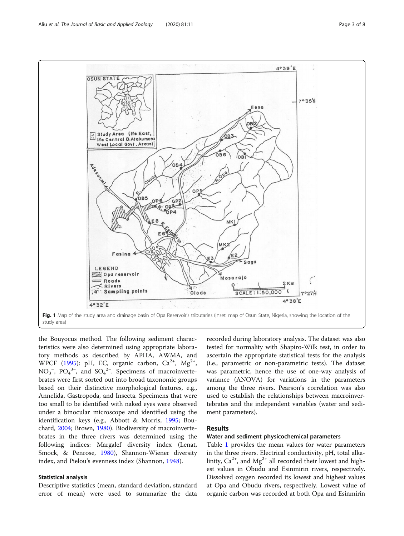<span id="page-2-0"></span>

the Bouyocus method. The following sediment characteristics were also determined using appropriate laboratory methods as described by APHA, AWMA, and WPCF [\(1995\)](#page-6-0): pH, EC, organic carbon,  $Ca^{2+}$ ,  $Mg^{2+}$ , NO<sub>3</sub><sup>-</sup>, PO<sub>4</sub><sup>3-</sup>, and SO<sub>4</sub><sup>2-</sup>. Specimens of macroinvertebrates were first sorted out into broad taxonomic groups based on their distinctive morphological features, e.g., Annelida, Gastropoda, and Insecta. Specimens that were too small to be identified with naked eyes were observed under a binocular microscope and identified using the identification keys (e.g., Abbott & Morris, [1995](#page-6-0); Bouchard, [2004;](#page-6-0) Brown, [1980](#page-6-0)). Biodiversity of macroinvertebrates in the three rivers was determined using the following indices: Margalef diversity index (Lenat, Smock, & Penrose, [1980\)](#page-7-0), Shannon-Wiener diversity index, and Pielou's evenness index (Shannon, [1948\)](#page-7-0).

#### Statistical analysis

Descriptive statistics (mean, standard deviation, standard error of mean) were used to summarize the data recorded during laboratory analysis. The dataset was also tested for normality with Shapiro-Wilk test, in order to ascertain the appropriate statistical tests for the analysis (i.e., parametric or non-parametric tests). The dataset was parametric, hence the use of one-way analysis of variance (ANOVA) for variations in the parameters among the three rivers. Pearson's correlation was also used to establish the relationships between macroinvertebrates and the independent variables (water and sediment parameters).

# Results

## Water and sediment physicochemical parameters

Table [1](#page-3-0) provides the mean values for water parameters in the three rivers. Electrical conductivity, pH, total alkalinity,  $Ca^{2+}$ , and  $Mg^{2+}$  all recorded their lowest and highest values in Obudu and Esinmirin rivers, respectively. Dissolved oxygen recorded its lowest and highest values at Opa and Obudu rivers, respectively. Lowest value of organic carbon was recorded at both Opa and Esinmirin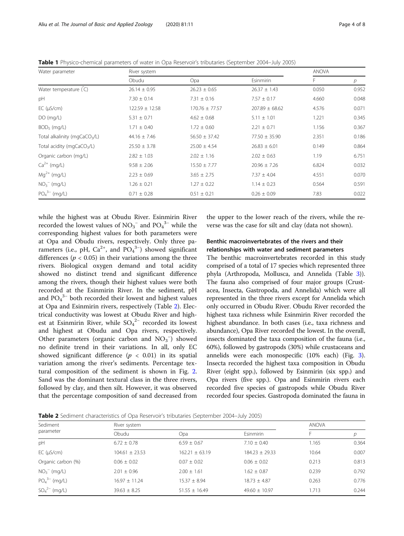| Water parameter                           | River system       |                    |                    | ANOVA |                |
|-------------------------------------------|--------------------|--------------------|--------------------|-------|----------------|
|                                           | Obudu              | Opa                | Esinmirin          | F.    | $\overline{p}$ |
| Water temperature (C)                     | $26.14 \pm 0.95$   | $26.23 \pm 0.65$   | $26.37 \pm 1.43$   | 0.050 | 0.952          |
| pH                                        | $7.30 \pm 0.14$    | $7.31 \pm 0.16$    | $7.57 \pm 0.17$    | 4.660 | 0.048          |
| $EC$ ( $\mu$ S/cm)                        | $122.59 \pm 12.58$ | $170.76 \pm 77.57$ | $207.89 \pm 68.62$ | 4.576 | 0.071          |
| $DO$ (mg/L)                               | $5.31 \pm 0.71$    | $4.62 \pm 0.68$    | $5.11 \pm 1.01$    | 1.221 | 0.345          |
| $BOD5$ (mg/L)                             | $1.71 \pm 0.40$    | $1.72 \pm 0.60$    | $2.21 \pm 0.71$    | 1.156 | 0.367          |
| Total alkalinity (mgCaCO <sub>3</sub> /L) | $44.16 \pm 7.46$   | $56.50 \pm 37.42$  | $77.50 \pm 35.90$  | 2.351 | 0.186          |
| Total acidity (mgCaCO <sub>3</sub> /L)    | $25.50 \pm 3.78$   | $25.00 \pm 4.54$   | $26.83 \pm 6.01$   | 0.149 | 0.864          |
| Organic carbon (mg/L)                     | $2.82 \pm 1.03$    | $2.02 \pm 1.16$    | $2.02 \pm 0.63$    | 1.19  | 6.751          |
| $Ca^{2+}$ (mg/L)                          | $9.58 \pm 2.06$    | $15.50 \pm 7.77$   | $20.96 \pm 7.26$   | 6.824 | 0.032          |
| $Mg^{2+}$ (mg/L)                          | $2.23 \pm 0.69$    | $3.65 \pm 2.75$    | $7.37 \pm 4.04$    | 4.551 | 0.07C          |
| $NO3- (mq/L)$                             | $1.26 \pm 0.21$    | $1.27 \pm 0.22$    | $1.14 \pm 0.23$    | 0.564 | 0.591          |
| $PO_4^{3-}$ (mg/L)                        | $0.71 \pm 0.28$    | $0.51 \pm 0.21$    | $0.26 \pm 0.09$    | 7.83  | 0.022          |

<span id="page-3-0"></span>Table 1 Physico-chemical parameters of water in Opa Reservoir's tributaries (September 2004–July 2005)

while the highest was at Obudu River. Esinmirin River recorded the lowest values of  $NO_3^-$  and  $PO_4^{\ 3-}$  while the corresponding highest values for both parameters were at Opa and Obudu rivers, respectively. Only three parameters (i.e., pH,  $Ca^{2+}$ , and  $PO<sub>4</sub><sup>3-</sup>$ ) showed significant differences ( $p < 0.05$ ) in their variations among the three rivers. Biological oxygen demand and total acidity showed no distinct trend and significant difference among the rivers, though their highest values were both recorded at the Esinmirin River. In the sediment, pH and  $PO_4^{\ 3-}$  both recorded their lowest and highest values at Opa and Esinmirin rivers, respectively (Table 2). Electrical conductivity was lowest at Obudu River and highest at Esinmirin River, while  $SO_4^2$ <sup>-</sup> recorded its lowest and highest at Obudu and Opa rivers, respectively. Other parameters (organic carbon and  $NO<sub>3</sub><sup>-</sup>$ ) showed no definite trend in their variations. In all, only EC showed significant difference ( $p < 0.01$ ) in its spatial variation among the river's sediments. Percentage textural composition of the sediment is shown in Fig. [2](#page-4-0). Sand was the dominant textural class in the three rivers, followed by clay, and then silt. However, it was observed that the percentage composition of sand decreased from

the upper to the lower reach of the rivers, while the reverse was the case for silt and clay (data not shown).

# Benthic macroinvertebrates of the rivers and their relationships with water and sediment parameters

The benthic macroinvertebrates recorded in this study comprised of a total of 17 species which represented three phyla (Arthropoda, Mollusca, and Annelida (Table [3](#page-4-0))). The fauna also comprised of four major groups (Crustacea, Insecta, Gastropoda, and Annelida) which were all represented in the three rivers except for Annelida which only occurred in Obudu River. Obudu River recorded the highest taxa richness while Esinmirin River recorded the highest abundance. In both cases (i.e., taxa richness and abundance), Opa River recorded the lowest. In the overall, insects dominated the taxa composition of the fauna (i.e., 60%), followed by gastropods (30%) while crustaceans and annelids were each monospecific (10% each) (Fig. [3](#page-4-0)). Insecta recorded the highest taxa composition in Obudu River (eight spp.), followed by Esinmirin (six spp.) and Opa rivers (five spp.). Opa and Esinmirin rivers each recorded five species of gastropods while Obudu River recorded four species. Gastropoda dominated the fauna in

Table 2 Sediment characteristics of Opa Reservoir's tributaries (September 2004–July 2005)

| Sediment<br>parameter | River system       |                    |                    |       | <b>ANOVA</b> |  |
|-----------------------|--------------------|--------------------|--------------------|-------|--------------|--|
|                       | Obudu              | Opa                | Esinmirin          |       |              |  |
| pH                    | $6.72 \pm 0.78$    | $6.59 \pm 0.67$    | $7.10 \pm 0.40$    | 1.165 | 0.364        |  |
| $EC$ ( $\mu$ S/cm)    | $104.61 \pm 23.53$ | $162.21 \pm 63.19$ | $184.23 \pm 29.33$ | 10.64 | 0.007        |  |
| Organic carbon (%)    | $0.06 \pm 0.02$    | $0.07 \pm 0.02$    | $0.06 \pm 0.02$    | 0.213 | 0.813        |  |
| $NO_3^-$ (mg/L)       | $2.01 \pm 0.96$    | $2.00 \pm 1.61$    | $1.62 \pm 0.87$    | 0.239 | 0.792        |  |
| $PO_4^{3-}$ (mg/L)    | $16.97 \pm 11.24$  | $15.37 \pm 8.94$   | $18.73 \pm 4.87$   | 0.263 | 0.776        |  |
| $SO_4^{2-}$ (mg/L)    | $39.63 \pm 8.25$   | $51.55 \pm 16.49$  | $49.60 \pm 10.97$  | 1.713 | 0.244        |  |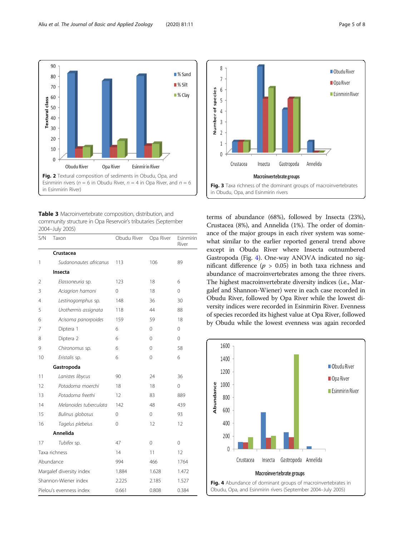<span id="page-4-0"></span>

Table 3 Macroinvertebrate composition, distribution, and community structure in Opa Reservoir's tributaries (September 2004–July 2005)

| S/N                      | Taxon                   | Obudu River | Opa River | Esinmirin<br>River |
|--------------------------|-------------------------|-------------|-----------|--------------------|
|                          | Crustacea               |             |           |                    |
| 1                        | Sudanonautes africanus  | 113         | 106       | 89                 |
|                          | Insecta                 |             |           |                    |
| 2                        | Elassoneuria sp.        | 123         | 18        | 6                  |
| 3                        | Aciagrion hamoni        | 0           | 18        | 0                  |
| 4                        | Lestinogomphus sp.      | 148         | 36        | 30                 |
| 5                        | Urothermis assignata    | 118         | 44        | 88                 |
| 6                        | Acisoma panorpoides     | 159         | 59        | 18                 |
| 7                        | Diptera 1               | 6           | 0         | $\Omega$           |
| 8                        | Diptera 2               | 6           | 0         | 0                  |
| 9                        | Chironomus sp.          | 6           | 0         | 58                 |
| 10                       | Eristalis sp.           | 6           | 0         | 6                  |
|                          | Gastropoda              |             |           |                    |
| 11                       | Lanistes libycus        | 90          | 24        | 36                 |
| 12                       | Potadoma moerchi        | 18          | 18        | 0                  |
| 13                       | Potadoma freethi        | 12          | 83        | 889                |
| 14                       | Melanoides tuberculata  | 142         | 48        | 439                |
| 15                       | <b>Bulinus globosus</b> | 0           | 0         | 93                 |
| 16                       | Tagelus plebeius        | 0           | 12        | 12                 |
|                          | Annelida                |             |           |                    |
| 17                       | Tubifex sp.             | 47          | 0         | 0                  |
| Taxa richness            |                         | 14          | 11        | 12                 |
| Abundance                |                         | 994         | 466       | 1764               |
| Margalef diversity index |                         | 1.884       | 1.628     | 1.472              |
| Shannon-Wiener index     |                         | 2.225       | 2.185     | 1.527              |
| Pielou's evenness index  |                         | 0.661       | 0.808     | 0.384              |



terms of abundance (68%), followed by Insecta (23%), Crustacea (8%), and Annelida (1%). The order of dominance of the major groups in each river system was somewhat similar to the earlier reported general trend above except in Obudu River where Insecta outnumbered Gastropoda (Fig. 4). One-way ANOVA indicated no significant difference ( $p > 0.05$ ) in both taxa richness and abundance of macroinvertebrates among the three rivers. The highest macroinvertebrate diversity indices (i.e., Margalef and Shannon-Wiener) were in each case recorded in Obudu River, followed by Opa River while the lowest diversity indices were recorded in Esinmirin River. Evenness of species recorded its highest value at Opa River, followed by Obudu while the lowest evenness was again recorded

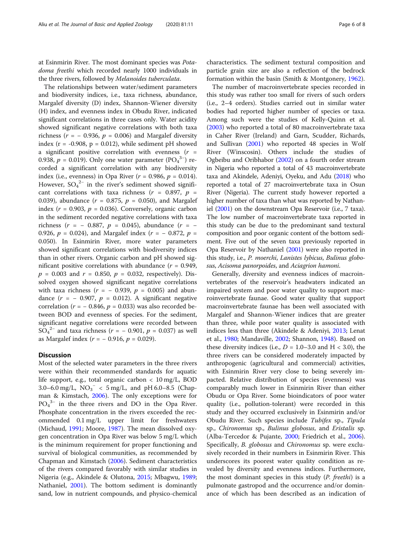at Esinmirin River. The most dominant species was Potadoma freethi which recorded nearly 1000 individuals in the three rivers, followed by Melanoides tuberculata.

The relationships between water/sediment parameters and biodiversity indices, i.e., taxa richness, abundance, Margalef diversity (D) index, Shannon-Wiener diversity (H) index, and evenness index in Obudu River, indicated significant correlations in three cases only. Water acidity showed significant negative correlations with both taxa richness ( $r = -0.936$ ,  $p = 0.006$ ) and Margalef diversity index ( $r = -0.908$ ,  $p = 0.012$ ), while sediment pH showed a significant positive correlation with evenness  $(r =$ 0.938,  $p = 0.019$ ). Only one water parameter  $(PO<sub>4</sub><sup>3-</sup>)$  recorded a significant correlation with any biodiversity index (i.e., evenness) in Opa River ( $r = 0.986$ ,  $p = 0.014$ ). However,  $SO_4^2$ <sup>-</sup> in the river's sediment showed significant correlations with taxa richness ( $r = 0.897$ ,  $p =$ 0.039), abundance ( $r = 0.875$ ,  $p = 0.050$ ), and Margalef index ( $r = 0.903$ ,  $p = 0.036$ ). Conversely, organic carbon in the sediment recorded negative correlations with taxa richness ( $r = -0.887$ ,  $p = 0.045$ ), abundance ( $r = -$ 0.926,  $p = 0.024$ ), and Margalef index ( $r = -0.872$ ,  $p =$ 0.050). In Esinmirin River, more water parameters showed significant correlations with biodiversity indices than in other rivers. Organic carbon and pH showed significant positive correlations with abundance ( $r = 0.949$ ,  $p = 0.003$  and  $r = 0.850$ ,  $p = 0.032$ , respectively). Dissolved oxygen showed significant negative correlations with taxa richness ( $r = -0.939$ ,  $p = 0.005$ ) and abundance  $(r = -0.907, p = 0.012)$ . A significant negative correlation ( $r = -0.846$ ,  $p = 0.033$ ) was also recorded between BOD and evenness of species. For the sediment, significant negative correlations were recorded between  $SO_4^{2-}$  and taxa richness ( $r = -0.901$ ,  $p = 0.037$ ) as well as Margalef index ( $r = -0.916$ ,  $p = 0.029$ ).

#### **Discussion**

Most of the selected water parameters in the three rivers were within their recommended standards for aquatic life support, e.g., total organic carbon < 10 mg/L, BOD 3.0–6.0 mg/L,  $NO_3^-$  < 5 mg/L, and pH 6.0–8.5 (Chapman & Kimstach, [2006](#page-6-0)). The only exceptions were for PO<sub>4</sub><sup>3-</sup> in the three rivers and DO in the Opa River. Phosphate concentration in the rivers exceeded the recommended 0.1 mg/L upper limit for freshwaters (Michaud, [1991](#page-7-0); Moore, [1987\)](#page-7-0). The mean dissolved oxygen concentration in Opa River was below 5 mg/L which is the minimum requirement for proper functioning and survival of biological communities, as recommended by Chapman and Kimstach ([2006](#page-6-0)). Sediment characteristics of the rivers compared favorably with similar studies in Nigeria (e.g., Akindele & Olutona, [2015;](#page-6-0) Mbagwu, [1989](#page-7-0); Nathaniel, [2001](#page-7-0)). The bottom sediment is dominantly sand, low in nutrient compounds, and physico-chemical

characteristics. The sediment textural composition and particle grain size are also a reflection of the bedrock formation within the basin (Smith & Montgonery, [1962\)](#page-7-0).

The number of macroinvertebrate species recorded in this study was rather too small for rivers of such orders (i.e., 2–4 orders). Studies carried out in similar water bodies had reported higher number of species or taxa. Among such were the studies of Kelly-Quinn et al. ([2003\)](#page-6-0) who reported a total of 80 macroinvertebrate taxa in Caher River (Ireland) and Garn, Scudder, Richards, and Sullivan ([2001](#page-6-0)) who reported 48 species in Wolf River (Winscosin). Others include the studies of Ogbeibu and Oribhabor ([2002\)](#page-7-0) on a fourth order stream in Nigeria who reported a total of 43 macroinvertebrate taxa and Akindele, Adeniyi, Oyeku, and Adu [\(2018\)](#page-6-0) who reported a total of 27 macroinvertebrate taxa in Osun River (Nigeria). The current study however reported a higher number of taxa than what was reported by Nathaniel [\(2001\)](#page-7-0) on the downstream Opa Reservoir (i.e., 7 taxa). The low number of macroinvertebrate taxa reported in this study can be due to the predominant sand textural composition and poor organic content of the bottom sediment. Five out of the seven taxa previously reported in Opa Reservoir by Nathaniel [\(2001](#page-7-0)) were also reported in this study, i.e., P. moerchi, Lanistes lybicus, Bulinus globosus, Acisoma panorpoides, and Aciagrion hamoni.

Generally, diversity and evenness indices of macroinvertebrates of the reservoir's headwaters indicated an impaired system and poor water quality to support macroinvertebrate faunae. Good water quality that support macroinvertebrate faunae has been well associated with Margalef and Shannon-Wiener indices that are greater than three, while poor water quality is associated with indices less than three (Akindele & Adeniyi, [2013](#page-6-0); Lenat et al., [1980;](#page-7-0) Mandaville, [2002;](#page-7-0) Shannon, [1948](#page-7-0)). Based on these diversity indices (i.e.,  $D = 1.0 - 3.0$  and  $H < 3.0$ ), the three rivers can be considered moderately impacted by anthropogenic (agricultural and commercial) activities, with Esinmirin River very close to being severely impacted. Relative distribution of species (evenness) was comparably much lower in Esinmirin River than either Obudu or Opa River. Some bioindicators of poor water quality (i.e., pollution-tolerant) were recorded in this study and they occurred exclusively in Esinmirin and/or Obudu River. Such species include Tubifex sp., Tipula sp., Chironomus sp., Bulinus globosus, and Eristalis sp. (Alba-Tercedor & Pujante, [2000;](#page-6-0) Friedrich et al., [2006](#page-6-0)). Specifically, *B. globosus* and *Chironomus* sp. were exclusively recorded in their numbers in Esinmirin River. This underscores its poorest water quality condition as revealed by diversity and evenness indices. Furthermore, the most dominant species in this study (P. freethi) is a pulmonate gastropod and the occurrence and/or dominance of which has been described as an indication of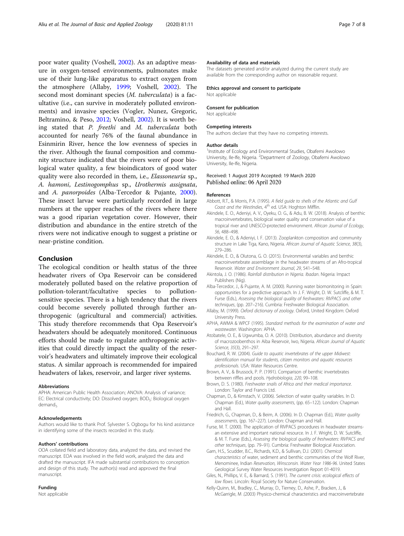<span id="page-6-0"></span>poor water quality (Voshell, [2002\)](#page-7-0). As an adaptive measure in oxygen-tensed environments, pulmonates make use of their lung-like apparatus to extract oxygen from the atmosphere (Allaby, 1999; Voshell, [2002](#page-7-0)). The second most dominant species (M. tuberculata) is a facultative (i.e., can survive in moderately polluted environments) and invasive species (Vogler, Nunez, Gregoric, Beltramino, & Peso, [2012;](#page-7-0) Voshell, [2002](#page-7-0)). It is worth being stated that P. freethi and M. tuberculata both accounted for nearly 76% of the faunal abundance in Esinmirin River, hence the low evenness of species in the river. Although the faunal composition and community structure indicated that the rivers were of poor biological water quality, a few bioindicators of good water quality were also recorded in them, i.e., Elassoneuria sp., A. hamoni, Lestinogomphus sp., Urothermis assignata, and A. panorpoides (Alba-Tercedor & Pujante, 2000). These insect larvae were particularly recorded in large numbers at the upper reaches of the rivers where there was a good riparian vegetation cover. However, their distribution and abundance in the entire stretch of the rivers were not indicative enough to suggest a pristine or near-pristine condition.

## Conclusion

The ecological condition or health status of the three headwater rivers of Opa Reservoir can be considered moderately polluted based on the relative proportion of pollution-tolerant/facultative species to pollutionsensitive species. There is a high tendency that the rivers could become severely polluted through further anthropogenic (agricultural and commercial) activities. This study therefore recommends that Opa Reservoir's headwaters should be adequately monitored. Continuous efforts should be made to regulate anthropogenic activities that could directly impact the quality of the reservoir's headwaters and ultimately improve their ecological status. A similar approach is recommended for impaired headwaters of lakes, reservoir, and larger river systems.

#### **Abbreviations**

APHA: American Public Health Association; ANOVA: Analysis of variance; EC: Electrical conductivity; DO: Dissolved oxygen; BOD<sub>5</sub>: Biological oxygen demand<sub>s</sub>

#### Acknowledgements

Authors would like to thank Prof. Sylvester S. Ogbogu for his kind assistance in identifying some of the insects recorded in this study.

#### Authors' contributions

OOA collated field and laboratory data, analyzed the data, and revised the manuscript. EOA was involved in the field work, analyzed the data and drafted the manuscript. IFA made substantial contributions to conception and design of this study. The author(s) read and approved the final manuscript.

### Funding

Not applicable

The datasets generated and/or analyzed during the current study are available from the corresponding author on reasonable request.

#### Ethics approval and consent to participate Not applicable

Consent for publication Not applicable

## Competing interests

The authors declare that they have no competing interests.

#### Author details

<sup>1</sup>Institute of Ecology and Environmental Studies, Obafemi Awolowo University, Ile-Ife, Nigeria. <sup>2</sup>Department of Zoology, Obafemi Awolowo University, Ile-Ife, Nigeria.

#### Received: 1 August 2019 Accepted: 19 March 2020 Published online: 06 April 2020

#### References

- Abbott, R.T., & Morris, P.A. (1995). A field guide to shells of the Atlantic and Gulf Coast and the WestIndies, 4<sup>th</sup> ed. USA: Hoghton Mifflin.
- Akindele, E. O., Adeniyi, A. V., Oyeku, O. G., & Adu, B. W. (2018). Analysis of benthic macroinvertebrates, biological water quality and conservation value of a tropical river and UNESCO-protected environment. African Journal of Ecology, 56, 488–498.
- Akindele, E. O., & Adeniyi, I. F. (2013). Zooplankton composition and community structure in Lake Tiga, Kano, Nigeria. African Journal of Aquatic Science, 38(3), 279–286.
- Akindele, E. O., & Olutona, G. O. (2015). Environmental variables and benthic macroinvertebrate assemblage in the headwater streams of an Afro-tropical Reservoir. Water and Environment Journal, 29, 541–548.
- Akintola, J. O. (1986). Rainfall distribution in Nigeria. Ibadan. Nigeria: Impact Publishers (Nig).
- Alba-Tercedor, J., & Pujante, A. M. (2000). Running water biomonitoring in Spain: opportunities for a predictive approach. In J. F. Wright, D. W. Sutcliffe, & M. T. Furse (Eds.), Assessing the biological quality of freshwaters: RIVPACS and other techniques, (pp. 207–216). Cumbria: Freshwater Biological Association.
- Allaby, M. (1999). Oxford dictionary of zoology. Oxford, United Kingdom: Oxford University Press.
- APHA, AWMA & WPCF (1995). Standard methods for the examination of water and wastewater. Washington: APHA.
- Atobatele, O. E., & Ugwumba, O. A. (2010). Distribution, abundance and diversity of macrozoobenthos in Aiba Reservoir, Iwo, Nigeria. African Journal of Aquatic Science, 35(3), 291–297.
- Bouchard, R. W. (2004). Guide to aquatic invertebrates of the upper Midwest: identification manual for students, citizen monitors and aquatic resources professionals. USA: Water Resources Centre.
- Brown, A. V., & Brussock, P. P. (1991). Comparison of benthic invertebrates between riffles and pools. Hydrobiologia, 220, 99–108.
- Brown, D. S. (1980). Freshwater snails of Africa and their medical importance. London: Taylor and Francis Ltd.
- Chapman, D., & Kimstach, V. (2006). Selection of water quality variables. In D. Chapman (Ed.), Water quality assessments, (pp. 65–122). London: Chapman and Hall.
- Friedrich, G., Chapman, D., & Beim, A. (2006). In D. Chapman (Ed.), Water quality assessments, (pp. 167–227). London: Chapman and Hall.
- Furse, M. T. (2000). The application of RIVPACS procedures in headwater streamsan extensive and important national resource. In J. F. Wright, D. W. Sutcliffe, & M. T. Furse (Eds.), Assessing the biological quality of freshwaters: RIVPACS and other techniques, (pp. 79–91). Cumbria: Freshwater Biological Association.
- Garn, H.S., Scudder, B.C., Richards, K.D., & Sullivan, D.J. (2001). Chemical characteristics of water, sediment and benthic communities of the Wolf River, Menominee, Indian Reservation, Winsconsin. Water Year 1986-96. United States Geological Survey Water Resources Investigation Report 01-4019.
- Giles, N., Phillips, V. E., & Barnard, S. (1991). The current crisis: ecological effects of low flows. Lincoln: Royal Society for Nature Conservation.
- Kelly-Quinn, M., Bradley, C., Murray, D., Tierney, D., Ashe, P., Bracken, J., & McGarrigle, M .(2003) Physico-chemical characteristics and macroinvertebrate